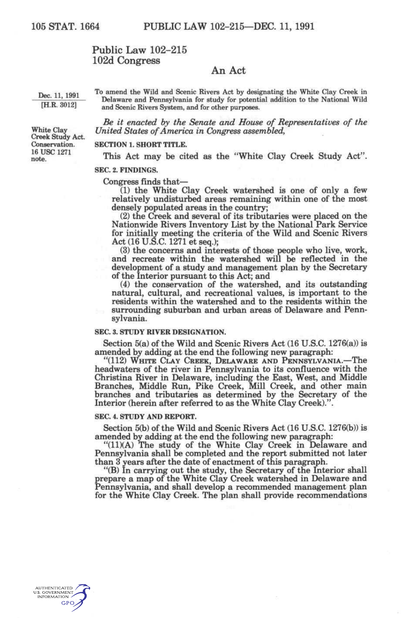# Public Law 102-215 102d Congress

# An Act

Dec. 11, 1991 <sup>To</sup> amend the Wild and Scenic Rivers Act by designating the White Clay Creek in  $\frac{\text{Dec. 11, 1991}}{\text{[H.R. 3012]}}$  Delaware and Pennsylvania for study for potential addition to the National Wild and Scenic Rivers System, and for other purposes.

*Be it enacted by the Senate and House of Representatives of the*  White Clay *United States of America in Congress assembled,* 

### Conservation. SECTION 1. SHORT TITLE.

<sup>16</sup> USC 1271 **This Act may be cited as the "White Clay Creek Study Act".** 

## SEC. 2. FINDINGS.

### Congress finds that—

(1) the White Clay Creek watershed is one of only a few relatively undisturbed areas remaining within one of the most densely populated areas in the country;

(2) the Creek and several of its tributaries were placed on the Nationwide Rivers Inventory List by the National Park Service for initially meeting the criteria of the Wild and Scenic Rivers Act (16 U.S.C. 1271 et seq.);

(3) the concerns and interests of those people who live, work, and recreate within the watershed will be reflected in the development of a study and management plan by the Secretary of the Interior pursuant to this Act; and

(4) the conservation of the watershed, and its outstanding natural, cultural, and recreational values, is important to the residents within the watershed and to the residents within the surrounding suburban and urban areas of Delaware and Pennsylvania.

### **SEC. 3. STUDY RIVER DESIGNATION.**

Section 5(a) of the Wild and Scenic Rivers Act (16 U.S.C. 1276(a)) is amended by adding at the end the following new paragraph:

"(112) WHITE CLAY CREEK, DELAWARE AND PENNSYLVANIA.—The headwaters of the river in Pennsylvania to its confluence with the Christina River in Delaware, including the East, West, and Middle Branches, Middle Run, Pike Creek, Mill Creek, and other main branches and tributaries as determined by the Secretary of the Interior (herein after referred to as the White Clay Creek)."

## **SEC. 4. STUDY AND REPORT.**

Section 5(b) of the Wild and Scenic Rivers Act (16 U.S.C. 1276(b)) is amended by adding at the end the following new paragraph:

"(11)(A) The study of the White Clay Creek in Delaware and Pennsylvania shall be completed and the report submitted not later than 3 years after the date of enactment of this paragraph.

"(B) In carrying out the study, the Secretary of the Interior shall prepare a map of the White Clay Creek watershed in Delaware and Pennsylvania, and shall develop a recommended management plan for the White Clay Creek. The plan shall provide recommendations